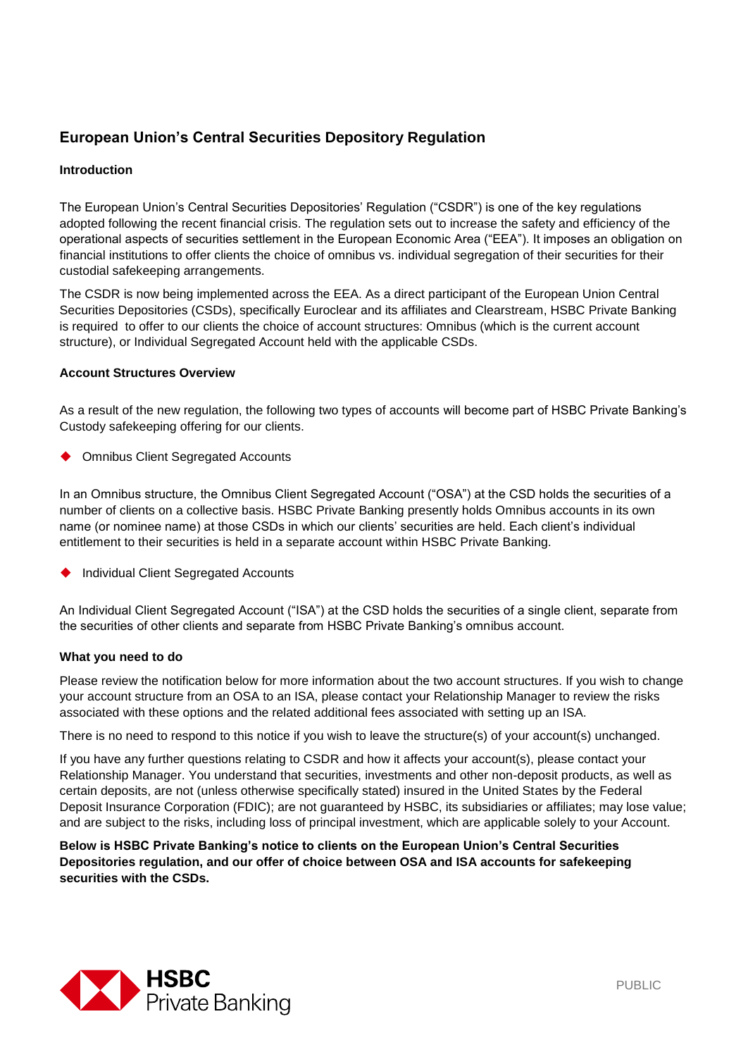# **European Union's Central Securities Depository Regulation**

## **Introduction**

The European Union's Central Securities Depositories' Regulation ("CSDR") is one of the key regulations adopted following the recent financial crisis. The regulation sets out to increase the safety and efficiency of the operational aspects of securities settlement in the European Economic Area ("EEA"). It imposes an obligation on financial institutions to offer clients the choice of omnibus vs. individual segregation of their securities for their custodial safekeeping arrangements.

The CSDR is now being implemented across the EEA. As a direct participant of the European Union Central Securities Depositories (CSDs), specifically Euroclear and its affiliates and Clearstream, HSBC Private Banking is required to offer to our clients the choice of account structures: Omnibus (which is the current account structure), or Individual Segregated Account held with the applicable CSDs.

## **Account Structures Overview**

As a result of the new regulation, the following two types of accounts will become part of HSBC Private Banking's Custody safekeeping offering for our clients.

◆ Omnibus Client Segregated Accounts

In an Omnibus structure, the Omnibus Client Segregated Account ("OSA") at the CSD holds the securities of a number of clients on a collective basis. HSBC Private Banking presently holds Omnibus accounts in its own name (or nominee name) at those CSDs in which our clients' securities are held. Each client's individual entitlement to their securities is held in a separate account within HSBC Private Banking.

Individual Client Segregated Accounts

An Individual Client Segregated Account ("ISA") at the CSD holds the securities of a single client, separate from the securities of other clients and separate from HSBC Private Banking's omnibus account.

## **What you need to do**

Please review the notification below for more information about the two account structures. If you wish to change your account structure from an OSA to an ISA, please contact your Relationship Manager to review the risks associated with these options and the related additional fees associated with setting up an ISA.

There is no need to respond to this notice if you wish to leave the structure(s) of your account(s) unchanged.

If you have any further questions relating to CSDR and how it affects your account(s), please contact your Relationship Manager. You understand that securities, investments and other non-deposit products, as well as certain deposits, are not (unless otherwise specifically stated) insured in the United States by the Federal Deposit Insurance Corporation (FDIC); are not guaranteed by HSBC, its subsidiaries or affiliates; may lose value; and are subject to the risks, including loss of principal investment, which are applicable solely to your Account.

**Below is HSBC Private Banking's notice to clients on the European Union's Central Securities Depositories regulation, and our offer of choice between OSA and ISA accounts for safekeeping securities with the CSDs.**

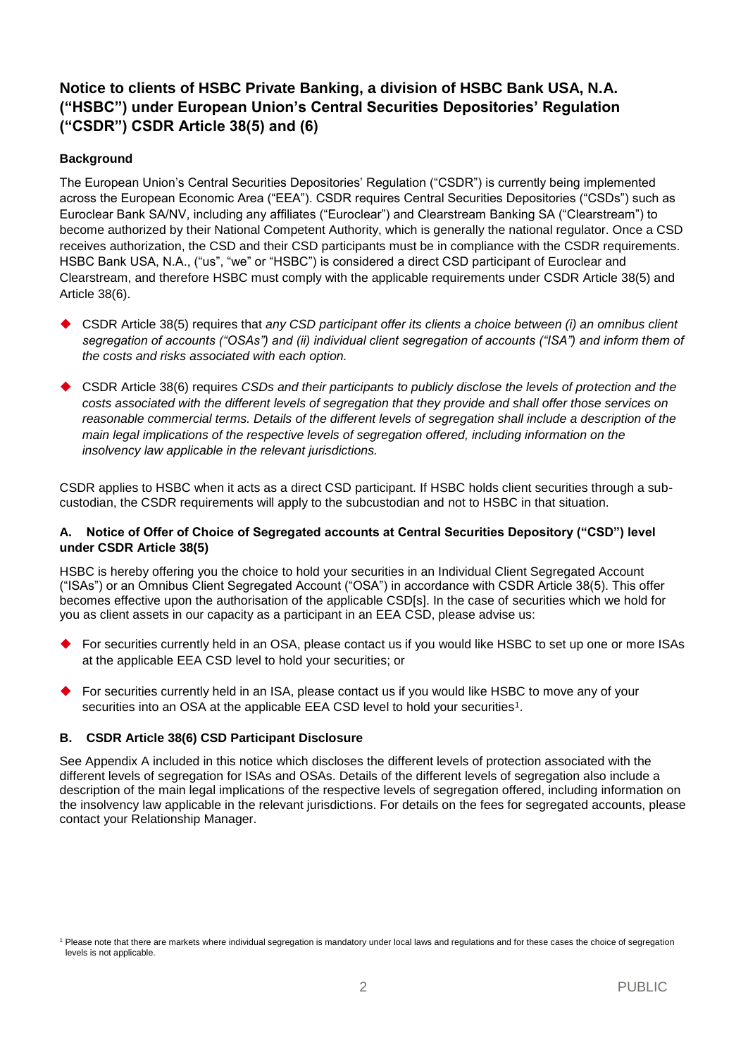# **Notice to clients of HSBC Private Banking, a division of HSBC Bank USA, N.A. ("HSBC") under European Union's Central Securities Depositories' Regulation ("CSDR") CSDR Article 38(5) and (6)**

# **Background**

The European Union's Central Securities Depositories' Regulation ("CSDR") is currently being implemented across the European Economic Area ("EEA"). CSDR requires Central Securities Depositories ("CSDs") such as Euroclear Bank SA/NV, including any affiliates ("Euroclear") and Clearstream Banking SA ("Clearstream") to become authorized by their National Competent Authority, which is generally the national regulator. Once a CSD receives authorization, the CSD and their CSD participants must be in compliance with the CSDR requirements. HSBC Bank USA, N.A., ("us", "we" or "HSBC") is considered a direct CSD participant of Euroclear and Clearstream, and therefore HSBC must comply with the applicable requirements under CSDR Article 38(5) and Article 38(6).

- CSDR Article 38(5) requires that *any CSD participant offer its clients a choice between (i) an omnibus client*  segregation of accounts ("OSAs") and (ii) individual client segregation of accounts ("ISA") and inform them of *the costs and risks associated with each option.*
- CSDR Article 38(6) requires *CSDs and their participants to publicly disclose the levels of protection and the costs associated with the different levels of segregation that they provide and shall offer those services on reasonable commercial terms. Details of the different levels of segregation shall include a description of the main legal implications of the respective levels of segregation offered, including information on the insolvency law applicable in the relevant jurisdictions.*

CSDR applies to HSBC when it acts as a direct CSD participant. If HSBC holds client securities through a subcustodian, the CSDR requirements will apply to the subcustodian and not to HSBC in that situation.

## **A. Notice of Offer of Choice of Segregated accounts at Central Securities Depository ("CSD") level under CSDR Article 38(5)**

HSBC is hereby offering you the choice to hold your securities in an Individual Client Segregated Account ("ISAs") or an Omnibus Client Segregated Account ("OSA") in accordance with CSDR Article 38(5). This offer becomes effective upon the authorisation of the applicable CSD[s]. In the case of securities which we hold for you as client assets in our capacity as a participant in an EEA CSD, please advise us:

- For securities currently held in an OSA, please contact us if you would like HSBC to set up one or more ISAs at the applicable EEA CSD level to hold your securities; or
- For securities currently held in an ISA, please contact us if you would like HSBC to move any of your securities into an OSA at the applicable EEA CSD level to hold your securities<sup>1</sup>.

## **B. CSDR Article 38(6) CSD Participant Disclosure**

See Appendix A included in this notice which discloses the different levels of protection associated with the different levels of segregation for ISAs and OSAs. Details of the different levels of segregation also include a description of the main legal implications of the respective levels of segregation offered, including information on the insolvency law applicable in the relevant jurisdictions. For details on the fees for segregated accounts, please contact your Relationship Manager.

<sup>1</sup> Please note that there are markets where individual segregation is mandatory under local laws and regulations and for these cases the choice of segregation levels is not applicable.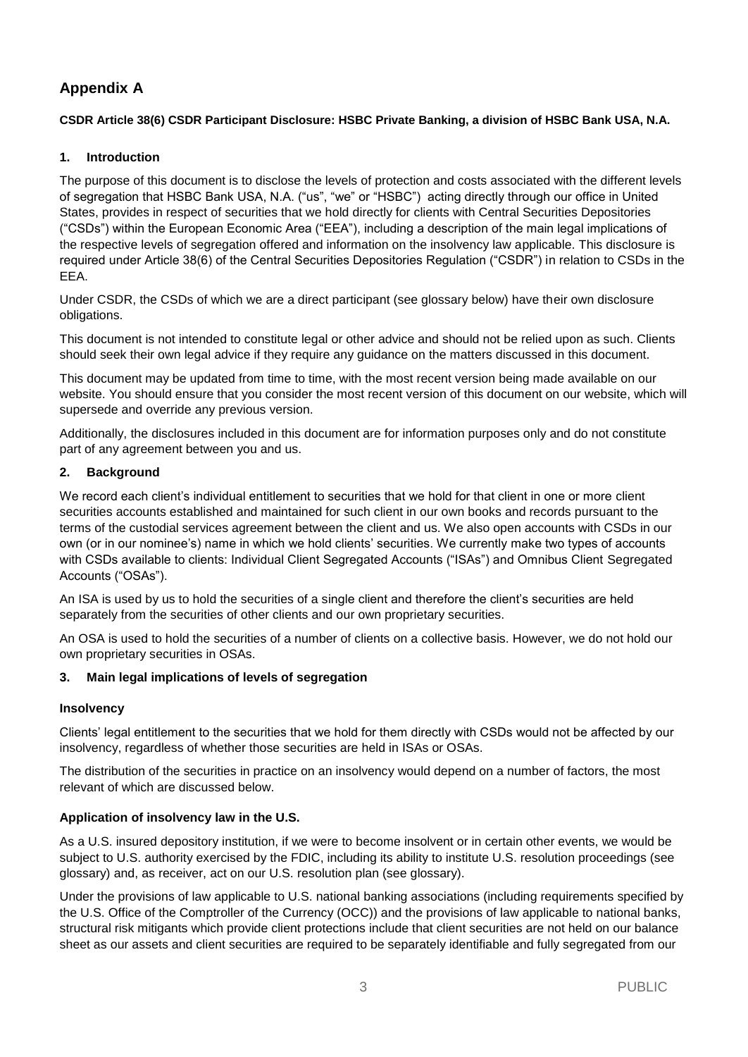# **Appendix A**

## **CSDR Article 38(6) CSDR Participant Disclosure: HSBC Private Banking, a division of HSBC Bank USA, N.A.**

## **1. Introduction**

The purpose of this document is to disclose the levels of protection and costs associated with the different levels of segregation that HSBC Bank USA, N.A. ("us", "we" or "HSBC") acting directly through our office in United States, provides in respect of securities that we hold directly for clients with Central Securities Depositories ("CSDs") within the European Economic Area ("EEA"), including a description of the main legal implications of the respective levels of segregation offered and information on the insolvency law applicable. This disclosure is required under Article 38(6) of the Central Securities Depositories Regulation ("CSDR") in relation to CSDs in the EEA.

Under CSDR, the CSDs of which we are a direct participant (see glossary below) have their own disclosure obligations.

This document is not intended to constitute legal or other advice and should not be relied upon as such. Clients should seek their own legal advice if they require any guidance on the matters discussed in this document.

This document may be updated from time to time, with the most recent version being made available on our website. You should ensure that you consider the most recent version of this document on our website, which will supersede and override any previous version.

Additionally, the disclosures included in this document are for information purposes only and do not constitute part of any agreement between you and us.

## **2. Background**

We record each client's individual entitlement to securities that we hold for that client in one or more client securities accounts established and maintained for such client in our own books and records pursuant to the terms of the custodial services agreement between the client and us. We also open accounts with CSDs in our own (or in our nominee's) name in which we hold clients' securities. We currently make two types of accounts with CSDs available to clients: Individual Client Segregated Accounts ("ISAs") and Omnibus Client Segregated Accounts ("OSAs").

An ISA is used by us to hold the securities of a single client and therefore the client's securities are held separately from the securities of other clients and our own proprietary securities.

An OSA is used to hold the securities of a number of clients on a collective basis. However, we do not hold our own proprietary securities in OSAs.

## **3. Main legal implications of levels of segregation**

## **Insolvency**

Clients' legal entitlement to the securities that we hold for them directly with CSDs would not be affected by our insolvency, regardless of whether those securities are held in ISAs or OSAs.

The distribution of the securities in practice on an insolvency would depend on a number of factors, the most relevant of which are discussed below.

## **Application of insolvency law in the U.S.**

As a U.S. insured depository institution, if we were to become insolvent or in certain other events, we would be subject to U.S. authority exercised by the FDIC, including its ability to institute U.S. resolution proceedings (see glossary) and, as receiver, act on our U.S. resolution plan (see glossary).

Under the provisions of law applicable to U.S. national banking associations (including requirements specified by the U.S. Office of the Comptroller of the Currency (OCC)) and the provisions of law applicable to national banks, structural risk mitigants which provide client protections include that client securities are not held on our balance sheet as our assets and client securities are required to be separately identifiable and fully segregated from our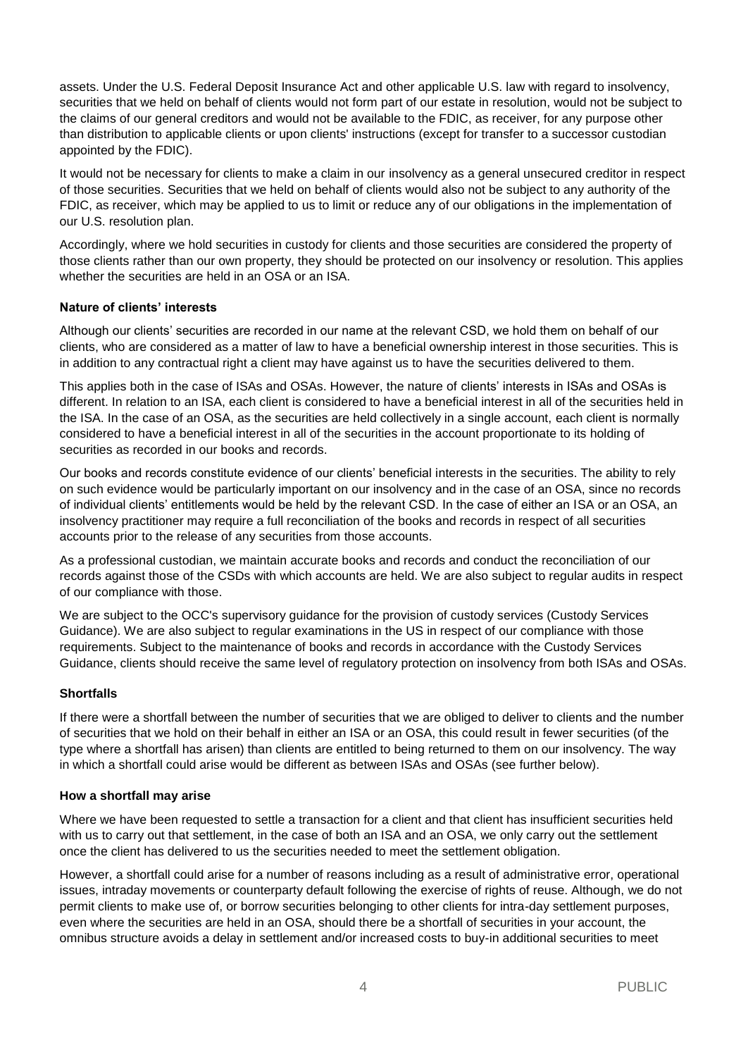assets. Under the U.S. Federal Deposit Insurance Act and other applicable U.S. law with regard to insolvency, securities that we held on behalf of clients would not form part of our estate in resolution, would not be subject to the claims of our general creditors and would not be available to the FDIC, as receiver, for any purpose other than distribution to applicable clients or upon clients' instructions (except for transfer to a successor custodian appointed by the FDIC).

It would not be necessary for clients to make a claim in our insolvency as a general unsecured creditor in respect of those securities. Securities that we held on behalf of clients would also not be subject to any authority of the FDIC, as receiver, which may be applied to us to limit or reduce any of our obligations in the implementation of our U.S. resolution plan.

Accordingly, where we hold securities in custody for clients and those securities are considered the property of those clients rather than our own property, they should be protected on our insolvency or resolution. This applies whether the securities are held in an OSA or an ISA.

## **Nature of clients' interests**

Although our clients' securities are recorded in our name at the relevant CSD, we hold them on behalf of our clients, who are considered as a matter of law to have a beneficial ownership interest in those securities. This is in addition to any contractual right a client may have against us to have the securities delivered to them.

This applies both in the case of ISAs and OSAs. However, the nature of clients' interests in ISAs and OSAs is different. In relation to an ISA, each client is considered to have a beneficial interest in all of the securities held in the ISA. In the case of an OSA, as the securities are held collectively in a single account, each client is normally considered to have a beneficial interest in all of the securities in the account proportionate to its holding of securities as recorded in our books and records.

Our books and records constitute evidence of our clients' beneficial interests in the securities. The ability to rely on such evidence would be particularly important on our insolvency and in the case of an OSA, since no records of individual clients' entitlements would be held by the relevant CSD. In the case of either an ISA or an OSA, an insolvency practitioner may require a full reconciliation of the books and records in respect of all securities accounts prior to the release of any securities from those accounts.

As a professional custodian, we maintain accurate books and records and conduct the reconciliation of our records against those of the CSDs with which accounts are held. We are also subject to regular audits in respect of our compliance with those.

We are subject to the OCC's supervisory guidance for the provision of custody services (Custody Services Guidance). We are also subject to regular examinations in the US in respect of our compliance with those requirements. Subject to the maintenance of books and records in accordance with the Custody Services Guidance, clients should receive the same level of regulatory protection on insolvency from both ISAs and OSAs.

## **Shortfalls**

If there were a shortfall between the number of securities that we are obliged to deliver to clients and the number of securities that we hold on their behalf in either an ISA or an OSA, this could result in fewer securities (of the type where a shortfall has arisen) than clients are entitled to being returned to them on our insolvency. The way in which a shortfall could arise would be different as between ISAs and OSAs (see further below).

#### **How a shortfall may arise**

Where we have been requested to settle a transaction for a client and that client has insufficient securities held with us to carry out that settlement, in the case of both an ISA and an OSA, we only carry out the settlement once the client has delivered to us the securities needed to meet the settlement obligation.

However, a shortfall could arise for a number of reasons including as a result of administrative error, operational issues, intraday movements or counterparty default following the exercise of rights of reuse. Although, we do not permit clients to make use of, or borrow securities belonging to other clients for intra-day settlement purposes, even where the securities are held in an OSA, should there be a shortfall of securities in your account, the omnibus structure avoids a delay in settlement and/or increased costs to buy-in additional securities to meet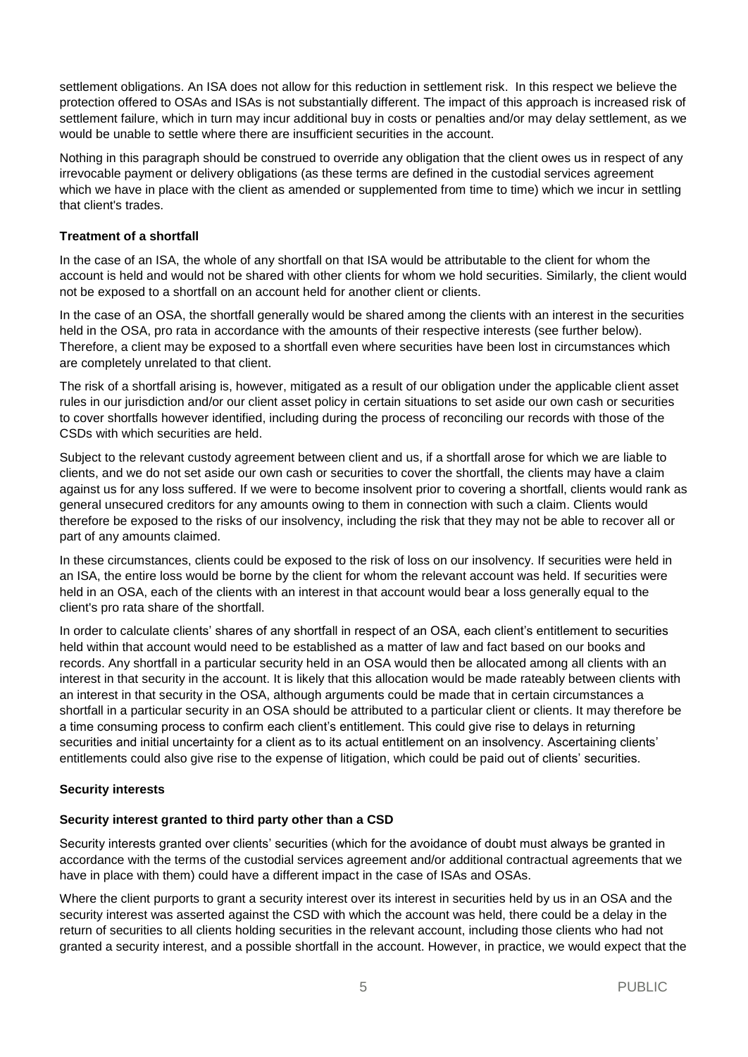settlement obligations. An ISA does not allow for this reduction in settlement risk. In this respect we believe the protection offered to OSAs and ISAs is not substantially different. The impact of this approach is increased risk of settlement failure, which in turn may incur additional buy in costs or penalties and/or may delay settlement, as we would be unable to settle where there are insufficient securities in the account.

Nothing in this paragraph should be construed to override any obligation that the client owes us in respect of any irrevocable payment or delivery obligations (as these terms are defined in the custodial services agreement which we have in place with the client as amended or supplemented from time to time) which we incur in settling that client's trades.

#### **Treatment of a shortfall**

In the case of an ISA, the whole of any shortfall on that ISA would be attributable to the client for whom the account is held and would not be shared with other clients for whom we hold securities. Similarly, the client would not be exposed to a shortfall on an account held for another client or clients.

In the case of an OSA, the shortfall generally would be shared among the clients with an interest in the securities held in the OSA, pro rata in accordance with the amounts of their respective interests (see further below). Therefore, a client may be exposed to a shortfall even where securities have been lost in circumstances which are completely unrelated to that client.

The risk of a shortfall arising is, however, mitigated as a result of our obligation under the applicable client asset rules in our jurisdiction and/or our client asset policy in certain situations to set aside our own cash or securities to cover shortfalls however identified, including during the process of reconciling our records with those of the CSDs with which securities are held.

Subject to the relevant custody agreement between client and us, if a shortfall arose for which we are liable to clients, and we do not set aside our own cash or securities to cover the shortfall, the clients may have a claim against us for any loss suffered. If we were to become insolvent prior to covering a shortfall, clients would rank as general unsecured creditors for any amounts owing to them in connection with such a claim. Clients would therefore be exposed to the risks of our insolvency, including the risk that they may not be able to recover all or part of any amounts claimed.

In these circumstances, clients could be exposed to the risk of loss on our insolvency. If securities were held in an ISA, the entire loss would be borne by the client for whom the relevant account was held. If securities were held in an OSA, each of the clients with an interest in that account would bear a loss generally equal to the client's pro rata share of the shortfall.

In order to calculate clients' shares of any shortfall in respect of an OSA, each client's entitlement to securities held within that account would need to be established as a matter of law and fact based on our books and records. Any shortfall in a particular security held in an OSA would then be allocated among all clients with an interest in that security in the account. It is likely that this allocation would be made rateably between clients with an interest in that security in the OSA, although arguments could be made that in certain circumstances a shortfall in a particular security in an OSA should be attributed to a particular client or clients. It may therefore be a time consuming process to confirm each client's entitlement. This could give rise to delays in returning securities and initial uncertainty for a client as to its actual entitlement on an insolvency. Ascertaining clients' entitlements could also give rise to the expense of litigation, which could be paid out of clients' securities.

## **Security interests**

## **Security interest granted to third party other than a CSD**

Security interests granted over clients' securities (which for the avoidance of doubt must always be granted in accordance with the terms of the custodial services agreement and/or additional contractual agreements that we have in place with them) could have a different impact in the case of ISAs and OSAs.

Where the client purports to grant a security interest over its interest in securities held by us in an OSA and the security interest was asserted against the CSD with which the account was held, there could be a delay in the return of securities to all clients holding securities in the relevant account, including those clients who had not granted a security interest, and a possible shortfall in the account. However, in practice, we would expect that the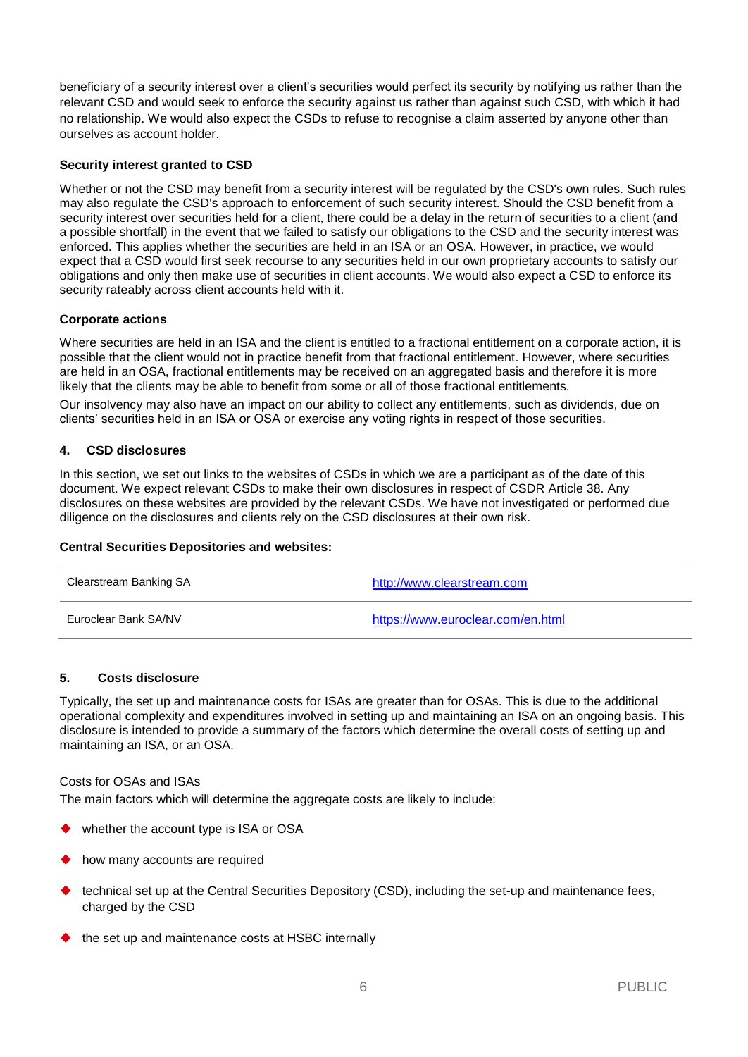beneficiary of a security interest over a client's securities would perfect its security by notifying us rather than the relevant CSD and would seek to enforce the security against us rather than against such CSD, with which it had no relationship. We would also expect the CSDs to refuse to recognise a claim asserted by anyone other than ourselves as account holder.

## **Security interest granted to CSD**

Whether or not the CSD may benefit from a security interest will be regulated by the CSD's own rules. Such rules may also regulate the CSD's approach to enforcement of such security interest. Should the CSD benefit from a security interest over securities held for a client, there could be a delay in the return of securities to a client (and a possible shortfall) in the event that we failed to satisfy our obligations to the CSD and the security interest was enforced. This applies whether the securities are held in an ISA or an OSA. However, in practice, we would expect that a CSD would first seek recourse to any securities held in our own proprietary accounts to satisfy our obligations and only then make use of securities in client accounts. We would also expect a CSD to enforce its security rateably across client accounts held with it.

#### **Corporate actions**

Where securities are held in an ISA and the client is entitled to a fractional entitlement on a corporate action, it is possible that the client would not in practice benefit from that fractional entitlement. However, where securities are held in an OSA, fractional entitlements may be received on an aggregated basis and therefore it is more likely that the clients may be able to benefit from some or all of those fractional entitlements.

Our insolvency may also have an impact on our ability to collect any entitlements, such as dividends, due on clients' securities held in an ISA or OSA or exercise any voting rights in respect of those securities.

#### **4. CSD disclosures**

In this section, we set out links to the websites of CSDs in which we are a participant as of the date of this document. We expect relevant CSDs to make their own disclosures in respect of CSDR Article 38. Any disclosures on these websites are provided by the relevant CSDs. We have not investigated or performed due diligence on the disclosures and clients rely on the CSD disclosures at their own risk.

#### **Central Securities Depositories and websites:**

| Clearstream Banking SA | http://www.clearstream.com        |
|------------------------|-----------------------------------|
| Euroclear Bank SA/NV   | https://www.euroclear.com/en.html |

#### **5. Costs disclosure**

Typically, the set up and maintenance costs for ISAs are greater than for OSAs. This is due to the additional operational complexity and expenditures involved in setting up and maintaining an ISA on an ongoing basis. This disclosure is intended to provide a summary of the factors which determine the overall costs of setting up and maintaining an ISA, or an OSA.

#### Costs for OSAs and ISAs

The main factors which will determine the aggregate costs are likely to include:

- whether the account type is ISA or OSA
- how many accounts are required
- technical set up at the Central Securities Depository (CSD), including the set-up and maintenance fees, charged by the CSD
- the set up and maintenance costs at HSBC internally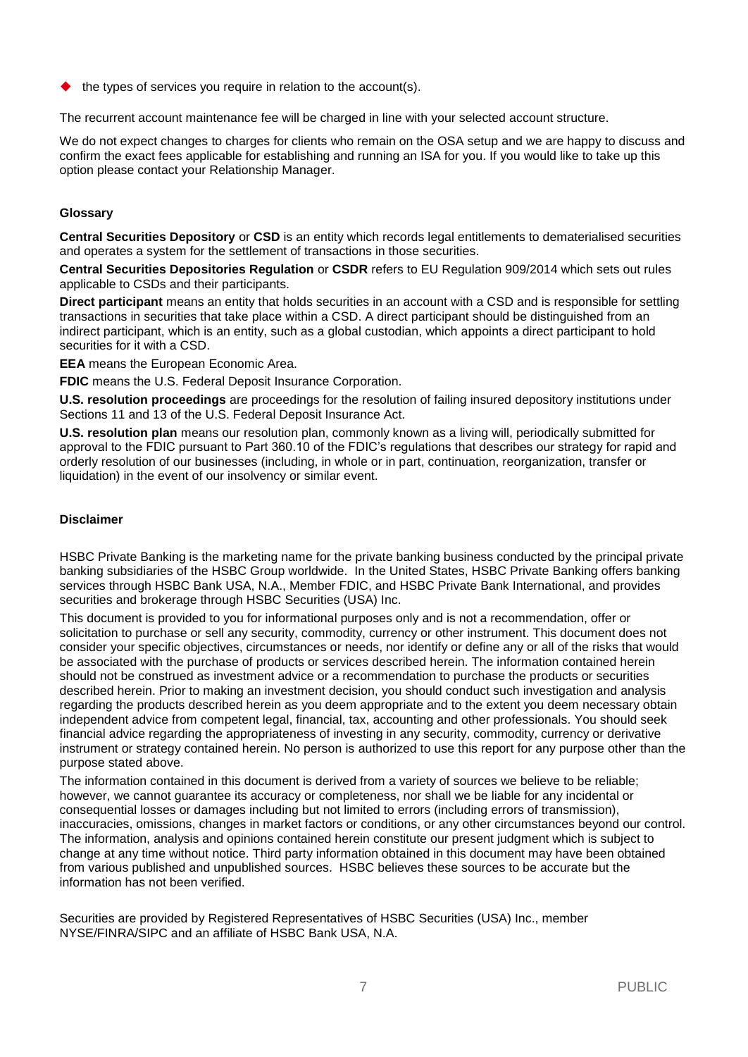the types of services you require in relation to the account(s).

The recurrent account maintenance fee will be charged in line with your selected account structure.

We do not expect changes to charges for clients who remain on the OSA setup and we are happy to discuss and confirm the exact fees applicable for establishing and running an ISA for you. If you would like to take up this option please contact your Relationship Manager.

## **Glossary**

**Central Securities Depository** or **CSD** is an entity which records legal entitlements to dematerialised securities and operates a system for the settlement of transactions in those securities.

**Central Securities Depositories Regulation** or **CSDR** refers to EU Regulation 909/2014 which sets out rules applicable to CSDs and their participants.

**Direct participant** means an entity that holds securities in an account with a CSD and is responsible for settling transactions in securities that take place within a CSD. A direct participant should be distinguished from an indirect participant, which is an entity, such as a global custodian, which appoints a direct participant to hold securities for it with a CSD.

**EEA** means the European Economic Area.

**FDIC** means the U.S. Federal Deposit Insurance Corporation.

**U.S. resolution proceedings** are proceedings for the resolution of failing insured depository institutions under Sections 11 and 13 of the U.S. Federal Deposit Insurance Act.

**U.S. resolution plan** means our resolution plan, commonly known as a living will, periodically submitted for approval to the FDIC pursuant to Part 360.10 of the FDIC's regulations that describes our strategy for rapid and orderly resolution of our businesses (including, in whole or in part, continuation, reorganization, transfer or liquidation) in the event of our insolvency or similar event.

## **Disclaimer**

HSBC Private Banking is the marketing name for the private banking business conducted by the principal private banking subsidiaries of the HSBC Group worldwide. In the United States, HSBC Private Banking offers banking services through HSBC Bank USA, N.A., Member FDIC, and HSBC Private Bank International, and provides securities and brokerage through HSBC Securities (USA) Inc.

This document is provided to you for informational purposes only and is not a recommendation, offer or solicitation to purchase or sell any security, commodity, currency or other instrument. This document does not consider your specific objectives, circumstances or needs, nor identify or define any or all of the risks that would be associated with the purchase of products or services described herein. The information contained herein should not be construed as investment advice or a recommendation to purchase the products or securities described herein. Prior to making an investment decision, you should conduct such investigation and analysis regarding the products described herein as you deem appropriate and to the extent you deem necessary obtain independent advice from competent legal, financial, tax, accounting and other professionals. You should seek financial advice regarding the appropriateness of investing in any security, commodity, currency or derivative instrument or strategy contained herein. No person is authorized to use this report for any purpose other than the purpose stated above.

The information contained in this document is derived from a variety of sources we believe to be reliable; however, we cannot guarantee its accuracy or completeness, nor shall we be liable for any incidental or consequential losses or damages including but not limited to errors (including errors of transmission), inaccuracies, omissions, changes in market factors or conditions, or any other circumstances beyond our control. The information, analysis and opinions contained herein constitute our present judgment which is subject to change at any time without notice. Third party information obtained in this document may have been obtained from various published and unpublished sources. HSBC believes these sources to be accurate but the information has not been verified.

Securities are provided by Registered Representatives of HSBC Securities (USA) Inc., member NYSE/FINRA/SIPC and an affiliate of HSBC Bank USA, N.A.